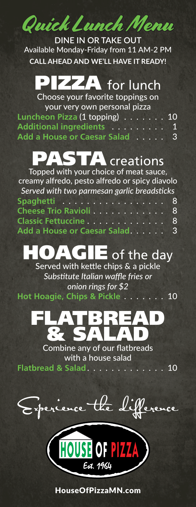

**DINE IN OR TAKE OUT** Available Monday-Friday from 11 AM-2 PM **CALL AHEAD AND WE'LL HAVE IT READY!**

## **ZZA** for lunch

| Choose your favorite toppings on                  |   |
|---------------------------------------------------|---|
| your very own personal pizza                      |   |
| Luncheon Pizza (1 topping) $\dots \dots \dots$ 10 |   |
| Additional ingredients 1                          |   |
| Add a House or Caesar Salad                       | 3 |

## PASTA creations

Topped with your choice of meat sauce, creamy alfredo, pesto alfredo or spicy diavolo *Served with two parmesan garlic breadsticks*

| Spaghetti 8                    |  |
|--------------------------------|--|
| Cheese Trio Ravioli 8          |  |
| Classic Fettuccine 8           |  |
| Add a House or Caesar Salad. 3 |  |

## **HOAGIE** of the day

Served with kettle chips & a pickle *Substitute Italian waffle fries or onion rings for \$2*

**Hot Hoagie, Chips & Pickle ....... 10** 



Combine any of our flatbreads with a house salad

**Flatbread & Salad** . . . . . . . . . . . . 10

Esperience the Lifference



HouseOfPizzaMN.com